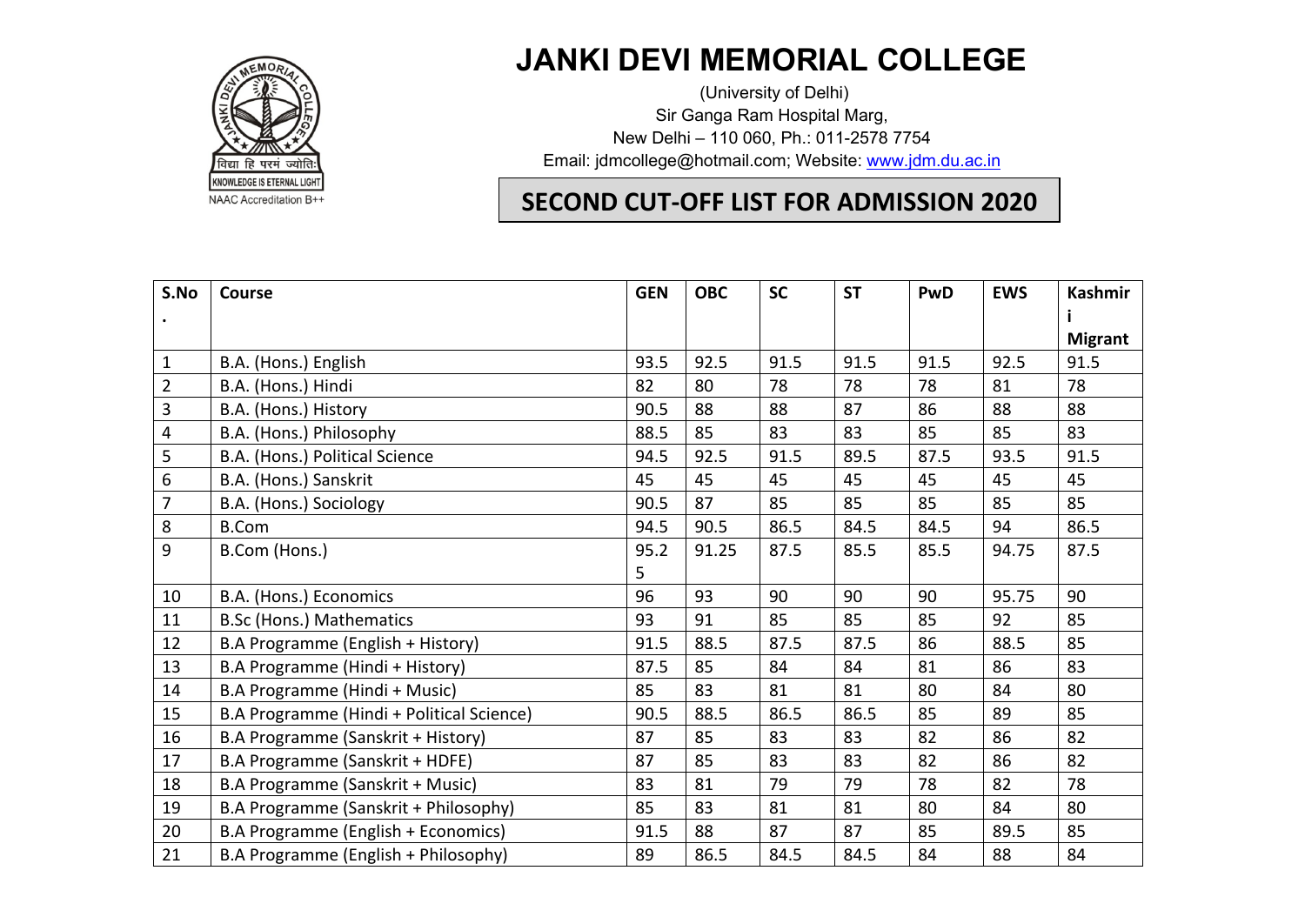

## **JANKI DEVI MEMORIAL COLLEGE**

 (University of Delhi) Sir Ganga Ram Hospital Marg, New Delhi – 110 060, Ph.: 011-2578 7754 Email: jdmcollege@hotmail.com; Website: www.jdm.du.ac.in

## **SECOND CUT-OFF LIST FOR ADMISSION 2020**

| S.No             | <b>Course</b>                             | <b>GEN</b> | <b>OBC</b> | <b>SC</b> | <b>ST</b> | PwD  | <b>EWS</b> | Kashmir        |
|------------------|-------------------------------------------|------------|------------|-----------|-----------|------|------------|----------------|
|                  |                                           |            |            |           |           |      |            | <b>Migrant</b> |
| $\mathbf{1}$     | B.A. (Hons.) English                      | 93.5       | 92.5       | 91.5      | 91.5      | 91.5 | 92.5       | 91.5           |
| $\overline{2}$   | B.A. (Hons.) Hindi                        | 82         | 80         | 78        | 78        | 78   | 81         | 78             |
| 3                | B.A. (Hons.) History                      | 90.5       | 88         | 88        | 87        | 86   | 88         | 88             |
| $\overline{4}$   | B.A. (Hons.) Philosophy                   | 88.5       | 85         | 83        | 83        | 85   | 85         | 83             |
| 5                | B.A. (Hons.) Political Science            | 94.5       | 92.5       | 91.5      | 89.5      | 87.5 | 93.5       | 91.5           |
| $\boldsymbol{6}$ | B.A. (Hons.) Sanskrit                     | 45         | 45         | 45        | 45        | 45   | 45         | 45             |
| $\overline{7}$   | B.A. (Hons.) Sociology                    | 90.5       | 87         | 85        | 85        | 85   | 85         | 85             |
| 8                | <b>B.Com</b>                              | 94.5       | 90.5       | 86.5      | 84.5      | 84.5 | 94         | 86.5           |
| 9                | B.Com (Hons.)                             | 95.2       | 91.25      | 87.5      | 85.5      | 85.5 | 94.75      | 87.5           |
|                  |                                           | 5          |            |           |           |      |            |                |
| 10               | B.A. (Hons.) Economics                    | 96         | 93         | 90        | 90        | 90   | 95.75      | 90             |
| 11               | <b>B.Sc (Hons.) Mathematics</b>           | 93         | 91         | 85        | 85        | 85   | 92         | 85             |
| 12               | B.A Programme (English + History)         | 91.5       | 88.5       | 87.5      | 87.5      | 86   | 88.5       | 85             |
| 13               | B.A Programme (Hindi + History)           | 87.5       | 85         | 84        | 84        | 81   | 86         | 83             |
| 14               | B.A Programme (Hindi + Music)             | 85         | 83         | 81        | 81        | 80   | 84         | 80             |
| 15               | B.A Programme (Hindi + Political Science) | 90.5       | 88.5       | 86.5      | 86.5      | 85   | 89         | 85             |
| 16               | B.A Programme (Sanskrit + History)        | 87         | 85         | 83        | 83        | 82   | 86         | 82             |
| 17               | B.A Programme (Sanskrit + HDFE)           | 87         | 85         | 83        | 83        | 82   | 86         | 82             |
| 18               | B.A Programme (Sanskrit + Music)          | 83         | 81         | 79        | 79        | 78   | 82         | 78             |
| 19               | B.A Programme (Sanskrit + Philosophy)     | 85         | 83         | 81        | 81        | 80   | 84         | 80             |
| 20               | B.A Programme (English + Economics)       | 91.5       | 88         | 87        | 87        | 85   | 89.5       | 85             |
| 21               | B.A Programme (English + Philosophy)      | 89         | 86.5       | 84.5      | 84.5      | 84   | 88         | 84             |